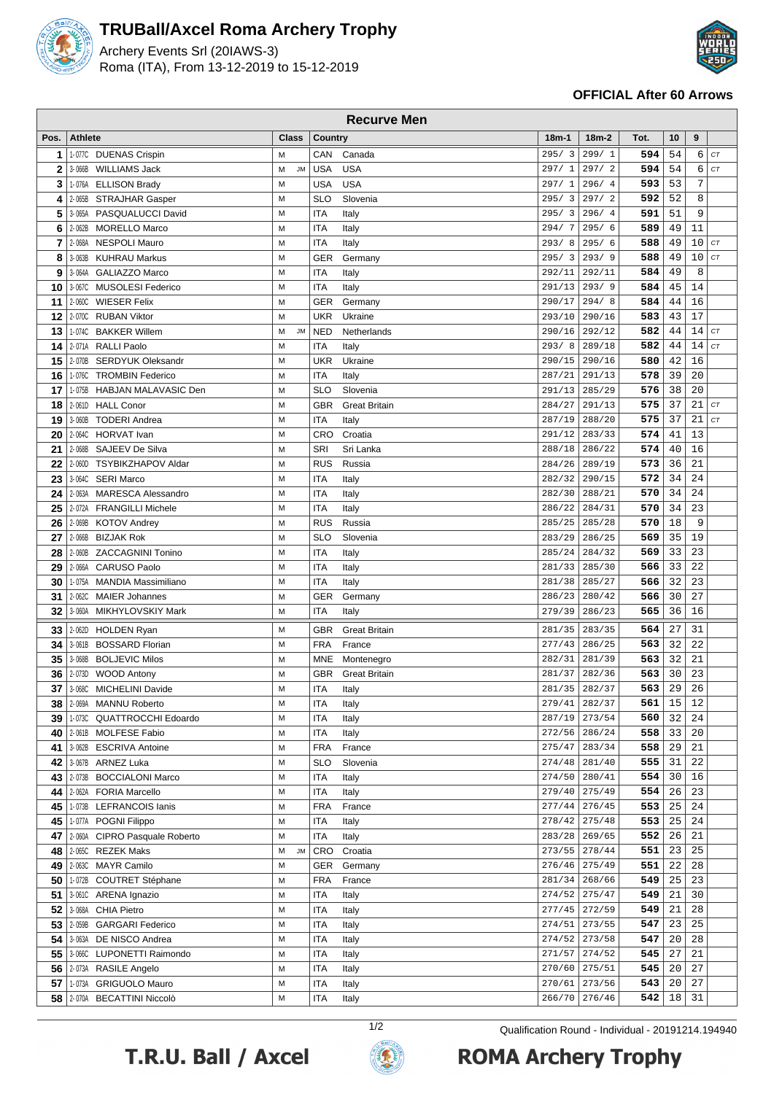

## **TRUBall/Axcel Roma Archery Trophy**

Archery Events Srl (20IAWS-3) Roma (ITA), From 13-12-2019 to 15-12-2019



## **OFFICIAL After 60 Arrows**

|          | <b>Recurve Men</b> |                                                       |                     |                          |                      |                 |                         |            |          |          |          |
|----------|--------------------|-------------------------------------------------------|---------------------|--------------------------|----------------------|-----------------|-------------------------|------------|----------|----------|----------|
| Pos.     | <b>Athlete</b>     |                                                       | Class               | Country                  |                      | $18m-1$         | $18m-2$                 | Tot.       | 10       | 9        |          |
| 1        |                    | 1-077C DUENAS Crispin                                 | M                   | CAN                      | Canada               | 295/3           | 299/1                   | 594        | 54       | 6        | CT       |
| 2        | 3-066B             | WILLIAMS Jack                                         | М<br><b>JM</b>      | <b>USA</b>               | <b>USA</b>           | 297/1           | 297/2                   | 594        | 54       | 6        | CT       |
| 3        |                    | 1-076A ELLISON Brady                                  | M                   | <b>USA</b>               | <b>USA</b>           | 297/1           | 296/4                   | 593        | 53       | 7        |          |
| 4        |                    | 2-065B STRAJHAR Gasper                                | М                   | SLO                      | Slovenia             | 295/3           | 297/2                   | 592        | 52       | 8        |          |
| 5        |                    | 3-065A PASQUALUCCI David                              | М                   | <b>ITA</b>               | Italy                | 295/3           | 296/4                   | 591        | 51       | 9        |          |
| 6        |                    | 2-062B MORELLO Marco                                  | М                   | <b>ITA</b>               | Italy                | 294/7           | 295/6                   | 589        | 49       | 11       |          |
| 7        |                    | 2-068A NESPOLI Mauro                                  | M                   | <b>ITA</b>               | Italy                | 293/8           | 295/6                   | 588        | 49       | 10       | CT       |
| 8        | 3-063B             | KUHRAU Markus                                         | M                   | GER                      | Germany              | 295/3           | 293/9                   | 588        | 49       | 10       | CT       |
| 9        | 3-064A             | <b>GALIAZZO Marco</b>                                 | M                   | <b>ITA</b>               | Italy                | 292/11          | 292/11                  | 584        | 49       | 8        |          |
| 10       | 3-067C             | <b>MUSOLESI Federico</b>                              | M                   | <b>ITA</b>               | Italy                | 291/13          | 293/9                   | 584        | 45       | 14       |          |
| 11       | $2 - 060C$         | <b>WIESER Felix</b>                                   | М                   | GER                      | Germany              | 290/17          | 294/8                   | 584        | 44       | 16       |          |
| 12       | 2-070C             | <b>RUBAN Viktor</b>                                   | M                   | <b>UKR</b>               | Ukraine              | 293/10          | 290/16                  | 583        | 43       | 17       |          |
| 13<br>14 | 1-074C             | <b>BAKKER Willem</b><br>2-071A RALLI Paolo            | <b>JM</b><br>М<br>М | <b>NED</b><br><b>ITA</b> | Netherlands          | 290/16<br>293/8 | 292/12<br>289/18        | 582<br>582 | 44<br>44 | 14<br>14 | CT<br>CT |
| 15       |                    | 2-070B SERDYUK Oleksandr                              | М                   | <b>UKR</b>               | Italy<br>Ukraine     | 290/15          | 290/16                  | 580        | 42       | 16       |          |
| 16       |                    | 1-076C TROMBIN Federico                               | М                   | <b>ITA</b>               | Italy                | 287/21          | 291/13                  | 578        | 39       | 20       |          |
| 17       | 1-075B             | <b>HABJAN MALAVASIC Den</b>                           | M                   | <b>SLO</b>               | Slovenia             | 291/13          | 285/29                  | 576        | 38       | 20       |          |
| 18       |                    | 2-061D HALL Conor                                     | M                   | <b>GBR</b>               | <b>Great Britain</b> | 284/27          | 291/13                  | 575        | 37       | 21       | CT       |
| 19       | 3-060B             | <b>TODERI Andrea</b>                                  | М                   | ITA                      | Italy                | 287/19          | 288/20                  | 575        | 37       | 21       | CT       |
| 20       |                    | 2-064C HORVAT Ivan                                    | М                   | CRO                      | Croatia              | 291/12          | 283/33                  | 574        | 41       | 13       |          |
| 21       | 2-068B             | SAJEEV De Silva                                       | М                   | <b>SRI</b>               | Sri Lanka            | 288/18          | 286/22                  | 574        | 40       | 16       |          |
| 22       | 2-060D             | <b>TSYBIKZHAPOV Aldar</b>                             | M                   | <b>RUS</b>               | Russia               | 284/26          | 289/19                  | 573        | 36       | 21       |          |
| 23       |                    | 3-064C SERI Marco                                     | M                   | <b>ITA</b>               | Italy                | 282/32          | 290/15                  | 572        | 34       | 24       |          |
| 24       |                    | 2-063A MARESCA Alessandro                             | М                   | <b>ITA</b>               | Italy                | 282/30          | 288/21                  | 570        | 34       | 24       |          |
| 25       |                    | 2-072A FRANGILLI Michele                              | M                   | <b>ITA</b>               | Italy                | 286/22          | 284/31                  | 570        | 34       | 23       |          |
| 26       |                    | 2-069B KOTOV Andrey                                   | M                   | <b>RUS</b>               | Russia               | 285/25          | 285/28                  | 570        | 18       | 9        |          |
| 27       |                    | 2-066B BIZJAK Rok                                     | M                   | <b>SLO</b>               | Slovenia             | 283/29          | 286/25                  | 569        | 35       | 19       |          |
| 28       | 2-060B             | <b>ZACCAGNINI Tonino</b>                              | M                   | <b>ITA</b>               | Italy                | 285/24          | 284/32                  | 569        | 33       | 23       |          |
| 29       | 2-066A             | <b>CARUSO Paolo</b>                                   | М                   | <b>ITA</b>               | Italy                | 281/33          | 285/30                  | 566        | 33       | 22       |          |
| 30       | 1-075A             | <b>MANDIA Massimiliano</b>                            | М                   | <b>ITA</b>               | Italy                | 281/38          | 285/27                  | 566        | 32       | 23       |          |
| 31       | 2-062C             | <b>MAIER Johannes</b>                                 | М                   | GER                      | Germany              | 286/23          | 280/42                  | 566        | 30       | 27       |          |
| 32       |                    | 3-060A MIKHYLOVSKIY Mark                              | M                   | <b>ITA</b>               | Italy                | 279/39          | 286/23                  | 565        | 36       | 16       |          |
| 33       |                    | 2-062D HOLDEN Ryan                                    | М                   | <b>GBR</b>               | <b>Great Britain</b> | 281/35          | 283/35                  | 564        | 27       | 31       |          |
| 34       |                    | 3-061B BOSSARD Florian                                | М                   | <b>FRA</b>               | France               | 277/43          | 286/25                  | 563        | 32       | 22       |          |
| 35       | 3-068B             | <b>BOLJEVIC Milos</b>                                 | M                   | MNE                      | Montenegro           | 282/31          | 281/39                  | 563        | 32       | 21       |          |
| 36       |                    | 2-073D WOOD Antony                                    | M                   | <b>GBR</b>               | <b>Great Britain</b> | 281/37          | 282/36                  | 563        | 30       | 23       |          |
| 37       | 3-068C             | <b>MICHELINI Davide</b>                               | M                   | <b>ITA</b>               | Italy                |                 | 281/35 282/37           | 563        | 29       | 26       |          |
| 38       |                    | 2-069A MANNU Roberto                                  | М                   | <b>ITA</b>               | Italy                | 279/41          | 282/37                  | 561        | 15       | 12       |          |
| 39       |                    | 1-073C QUATTROCCHI Edoardo                            | М                   | <b>ITA</b>               | Italy                |                 | 287/19 273/54           | 560        | 32       | 24       |          |
| 40       |                    | 2-061B MOLFESE Fabio                                  | М                   | <b>ITA</b>               | Italy                |                 | 272/56 286/24           | 558        | 33       | 20       |          |
| 41       |                    | 3-062B ESCRIVA Antoine                                | М                   | <b>FRA</b>               | France               | 275/47          | 283/34                  | 558        | 29       | 21       |          |
| 42       |                    | 3-067B ARNEZ Luka                                     | М                   | <b>SLO</b>               | Slovenia             | 274/48          | 281/40                  | 555        | 31       | 22       |          |
| 43       |                    | 2-073B BOCCIALONI Marco                               | M                   | <b>ITA</b>               | Italy                | 274/50          | 280/41                  | 554        | 30       | 16       |          |
| 44       |                    | 2-062A FORIA Marcello                                 | M                   | <b>ITA</b>               | Italy                |                 | 279/40 275/49           | 554        | 26       | 23       |          |
| 45       |                    | 1-073B LEFRANCOIS lanis                               | М<br>M              | <b>FRA</b>               | France               | 277/44          | 276/45                  | 553        | 25       | 24<br>24 |          |
| 45       |                    | 1-077A POGNI Filippo<br>2-060A CIPRO Pasquale Roberto | М                   | <b>ITA</b>               | Italy                | 283/28          | 278/42 275/48<br>269/65 | 553<br>552 | 25<br>26 | $21\,$   |          |
| 47       |                    |                                                       | М<br>$\mathsf{JM}$  | <b>ITA</b>               | Italy<br>Croatia     | 273/55          | 278/44                  | 551        | 23       | 25       |          |
| 48       |                    | 2-065C REZEK Maks<br>49 2-063C MAYR Camilo            | М                   | CRO<br>GER               | Germany              | 276/46          | 275/49                  | 551        | 22       | 28       |          |
| 50       |                    | 1-072B COUTRET Stéphane                               | М                   | <b>FRA</b>               | France               | 281/34          | 268/66                  | 549        | 25       | 23       |          |
| 51       |                    | 3-061C ARENA Ignazio                                  | M                   | <b>ITA</b>               | Italy                |                 | 274/52 275/47           | 549        | 21       | 30       |          |
| 52       |                    | 3-068A CHIA Pietro                                    | М                   | <b>ITA</b>               | Italy                |                 | 277/45 272/59           | 549        | 21       | 28       |          |
| 53       |                    | 2-059B GARGARI Federico                               | M                   | <b>ITA</b>               | Italy                | 274/51          | 273/55                  | 547        | 23       | 25       |          |
| 54       |                    | 3-063A DE NISCO Andrea                                | М                   | ITA                      | Italy                |                 | 274/52 273/58           | 547        | 20       | 28       |          |
| 55       |                    | 3-066C LUPONETTI Raimondo                             | M                   | <b>ITA</b>               | Italy                | 271/57          | 274/52                  | 545        | 27       | 21       |          |
|          |                    | 56 2-073A RASILE Angelo                               | М                   | <b>ITA</b>               | Italy                | 270/60          | 275/51                  | 545        | 20       | 27       |          |
| 57       |                    | 1-073A GRIGUOLO Mauro                                 | М                   | <b>ITA</b>               | Italy                | 270/61          | 273/56                  | 543        | 20       | 27       |          |
|          |                    | 58 2-070A BECATTINI Niccolò                           | М                   | ITA                      | Italy                |                 | 266/70 276/46           | 542        | 18       | 31       |          |





1/2 Qualification Round - Individual - 20191214.194940**ROMA Archery Trophy**